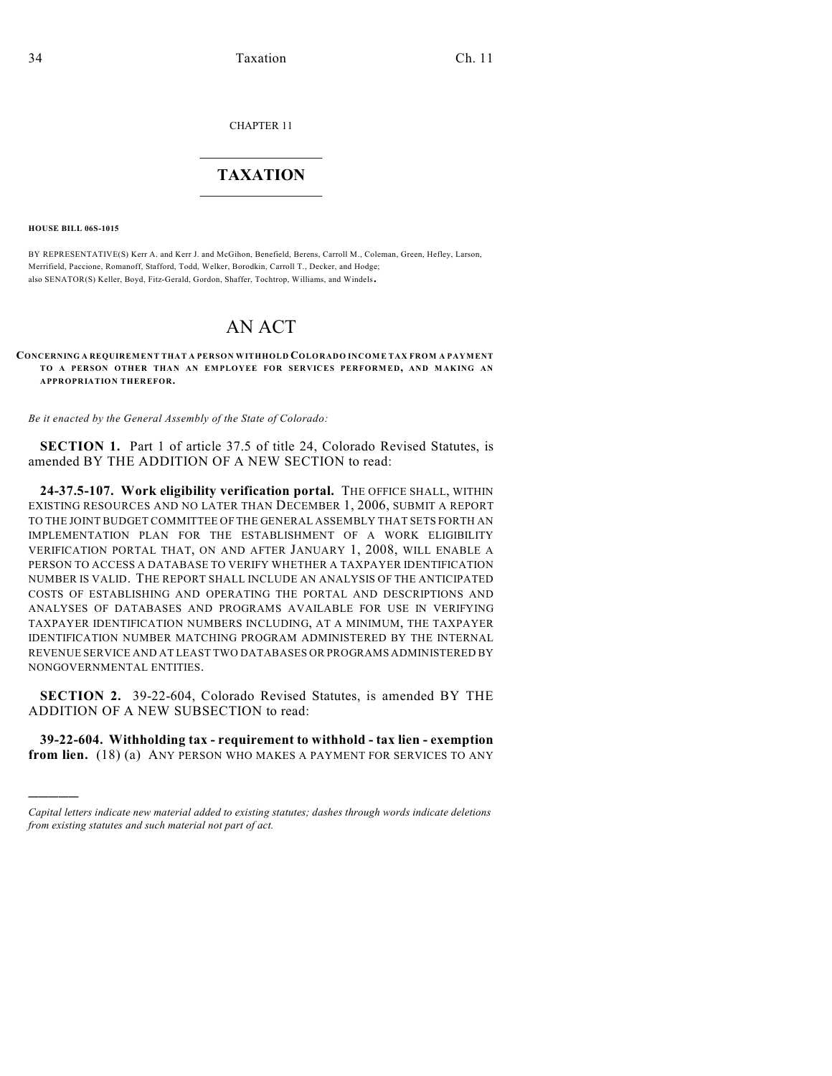CHAPTER 11

## $\overline{\phantom{a}}$  . The set of the set of the set of the set of the set of the set of the set of the set of the set of the set of the set of the set of the set of the set of the set of the set of the set of the set of the set o **TAXATION**  $\_$

**HOUSE BILL 06S-1015**

)))))

BY REPRESENTATIVE(S) Kerr A. and Kerr J. and McGihon, Benefield, Berens, Carroll M., Coleman, Green, Hefley, Larson, Merrifield, Paccione, Romanoff, Stafford, Todd, Welker, Borodkin, Carroll T., Decker, and Hodge; also SENATOR(S) Keller, Boyd, Fitz-Gerald, Gordon, Shaffer, Tochtrop, Williams, and Windels.

## AN ACT

**CONCERNING A REQUIREMENT THAT A PERSON WITHHOLD COLORADO INCOME TAX FROM A PAYMENT TO A PERSON OTHER THAN AN EMPLOYEE FOR SERVICES PERFORMED, AND MAKING AN APPROPRIATION THEREFOR.**

*Be it enacted by the General Assembly of the State of Colorado:*

**SECTION 1.** Part 1 of article 37.5 of title 24, Colorado Revised Statutes, is amended BY THE ADDITION OF A NEW SECTION to read:

**24-37.5-107. Work eligibility verification portal.** THE OFFICE SHALL, WITHIN EXISTING RESOURCES AND NO LATER THAN DECEMBER 1, 2006, SUBMIT A REPORT TO THE JOINT BUDGET COMMITTEE OF THE GENERAL ASSEMBLY THAT SETS FORTH AN IMPLEMENTATION PLAN FOR THE ESTABLISHMENT OF A WORK ELIGIBILITY VERIFICATION PORTAL THAT, ON AND AFTER JANUARY 1, 2008, WILL ENABLE A PERSON TO ACCESS A DATABASE TO VERIFY WHETHER A TAXPAYER IDENTIFICATION NUMBER IS VALID. THE REPORT SHALL INCLUDE AN ANALYSIS OF THE ANTICIPATED COSTS OF ESTABLISHING AND OPERATING THE PORTAL AND DESCRIPTIONS AND ANALYSES OF DATABASES AND PROGRAMS AVAILABLE FOR USE IN VERIFYING TAXPAYER IDENTIFICATION NUMBERS INCLUDING, AT A MINIMUM, THE TAXPAYER IDENTIFICATION NUMBER MATCHING PROGRAM ADMINISTERED BY THE INTERNAL REVENUE SERVICE AND AT LEAST TWO DATABASES OR PROGRAMS ADMINISTERED BY NONGOVERNMENTAL ENTITIES.

**SECTION 2.** 39-22-604, Colorado Revised Statutes, is amended BY THE ADDITION OF A NEW SUBSECTION to read:

**39-22-604. Withholding tax - requirement to withhold - tax lien - exemption from lien.** (18) (a) ANY PERSON WHO MAKES A PAYMENT FOR SERVICES TO ANY

*Capital letters indicate new material added to existing statutes; dashes through words indicate deletions from existing statutes and such material not part of act.*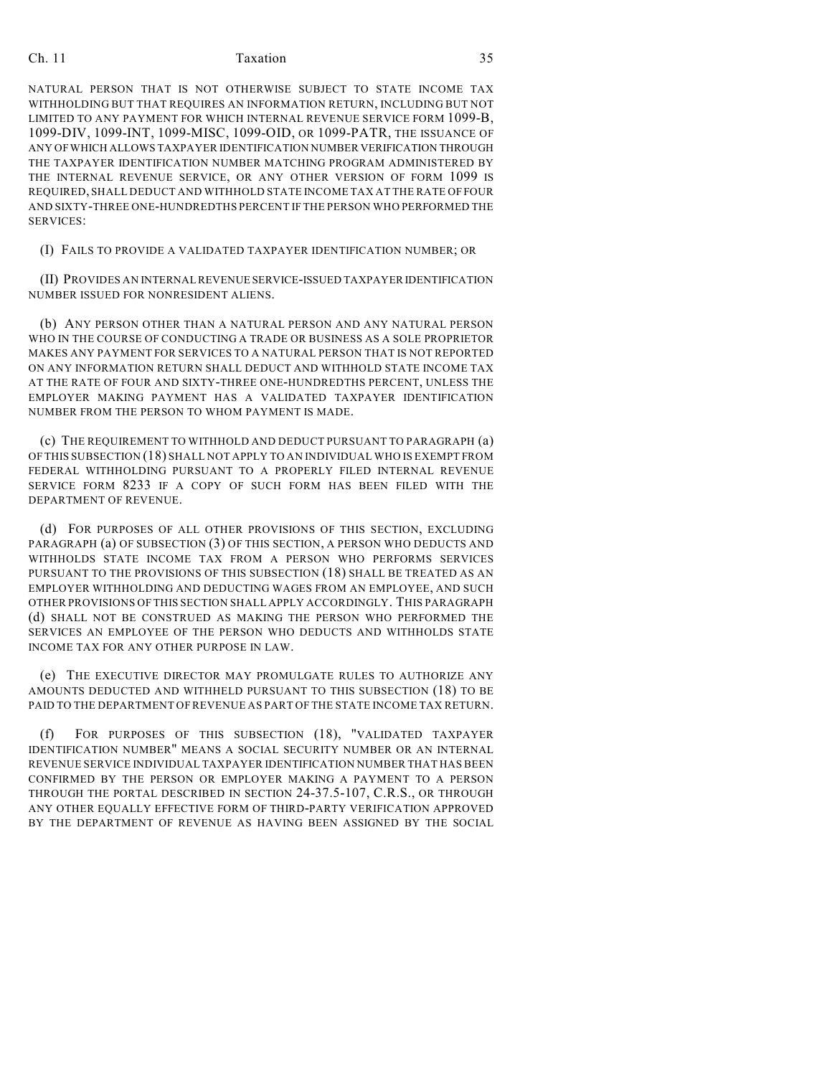## Ch. 11 Taxation 35

NATURAL PERSON THAT IS NOT OTHERWISE SUBJECT TO STATE INCOME TAX WITHHOLDING BUT THAT REQUIRES AN INFORMATION RETURN, INCLUDING BUT NOT LIMITED TO ANY PAYMENT FOR WHICH INTERNAL REVENUE SERVICE FORM 1099-B, 1099-DIV, 1099-INT, 1099-MISC, 1099-OID, OR 1099-PATR, THE ISSUANCE OF ANY OF WHICH ALLOWS TAXPAYER IDENTIFICATION NUMBER VERIFICATION THROUGH THE TAXPAYER IDENTIFICATION NUMBER MATCHING PROGRAM ADMINISTERED BY THE INTERNAL REVENUE SERVICE, OR ANY OTHER VERSION OF FORM 1099 IS REQUIRED, SHALL DEDUCT AND WITHHOLD STATE INCOME TAX AT THE RATE OF FOUR AND SIXTY-THREE ONE-HUNDREDTHS PERCENT IF THE PERSON WHO PERFORMED THE SERVICES:

(I) FAILS TO PROVIDE A VALIDATED TAXPAYER IDENTIFICATION NUMBER; OR

(II) PROVIDES AN INTERNAL REVENUE SERVICE-ISSUED TAXPAYER IDENTIFICATION NUMBER ISSUED FOR NONRESIDENT ALIENS.

(b) ANY PERSON OTHER THAN A NATURAL PERSON AND ANY NATURAL PERSON WHO IN THE COURSE OF CONDUCTING A TRADE OR BUSINESS AS A SOLE PROPRIETOR MAKES ANY PAYMENT FOR SERVICES TO A NATURAL PERSON THAT IS NOT REPORTED ON ANY INFORMATION RETURN SHALL DEDUCT AND WITHHOLD STATE INCOME TAX AT THE RATE OF FOUR AND SIXTY-THREE ONE-HUNDREDTHS PERCENT, UNLESS THE EMPLOYER MAKING PAYMENT HAS A VALIDATED TAXPAYER IDENTIFICATION NUMBER FROM THE PERSON TO WHOM PAYMENT IS MADE.

(c) THE REQUIREMENT TO WITHHOLD AND DEDUCT PURSUANT TO PARAGRAPH (a) OF THIS SUBSECTION (18) SHALL NOT APPLY TO AN INDIVIDUAL WHO IS EXEMPT FROM FEDERAL WITHHOLDING PURSUANT TO A PROPERLY FILED INTERNAL REVENUE SERVICE FORM 8233 IF A COPY OF SUCH FORM HAS BEEN FILED WITH THE DEPARTMENT OF REVENUE.

(d) FOR PURPOSES OF ALL OTHER PROVISIONS OF THIS SECTION, EXCLUDING PARAGRAPH (a) OF SUBSECTION (3) OF THIS SECTION, A PERSON WHO DEDUCTS AND WITHHOLDS STATE INCOME TAX FROM A PERSON WHO PERFORMS SERVICES PURSUANT TO THE PROVISIONS OF THIS SUBSECTION (18) SHALL BE TREATED AS AN EMPLOYER WITHHOLDING AND DEDUCTING WAGES FROM AN EMPLOYEE, AND SUCH OTHER PROVISIONS OF THIS SECTION SHALL APPLY ACCORDINGLY. THIS PARAGRAPH (d) SHALL NOT BE CONSTRUED AS MAKING THE PERSON WHO PERFORMED THE SERVICES AN EMPLOYEE OF THE PERSON WHO DEDUCTS AND WITHHOLDS STATE INCOME TAX FOR ANY OTHER PURPOSE IN LAW.

(e) THE EXECUTIVE DIRECTOR MAY PROMULGATE RULES TO AUTHORIZE ANY AMOUNTS DEDUCTED AND WITHHELD PURSUANT TO THIS SUBSECTION (18) TO BE PAID TO THE DEPARTMENT OF REVENUE AS PART OF THE STATE INCOME TAX RETURN.

(f) FOR PURPOSES OF THIS SUBSECTION (18), "VALIDATED TAXPAYER IDENTIFICATION NUMBER" MEANS A SOCIAL SECURITY NUMBER OR AN INTERNAL REVENUE SERVICE INDIVIDUAL TAXPAYER IDENTIFICATION NUMBER THAT HAS BEEN CONFIRMED BY THE PERSON OR EMPLOYER MAKING A PAYMENT TO A PERSON THROUGH THE PORTAL DESCRIBED IN SECTION 24-37.5-107, C.R.S., OR THROUGH ANY OTHER EQUALLY EFFECTIVE FORM OF THIRD-PARTY VERIFICATION APPROVED BY THE DEPARTMENT OF REVENUE AS HAVING BEEN ASSIGNED BY THE SOCIAL